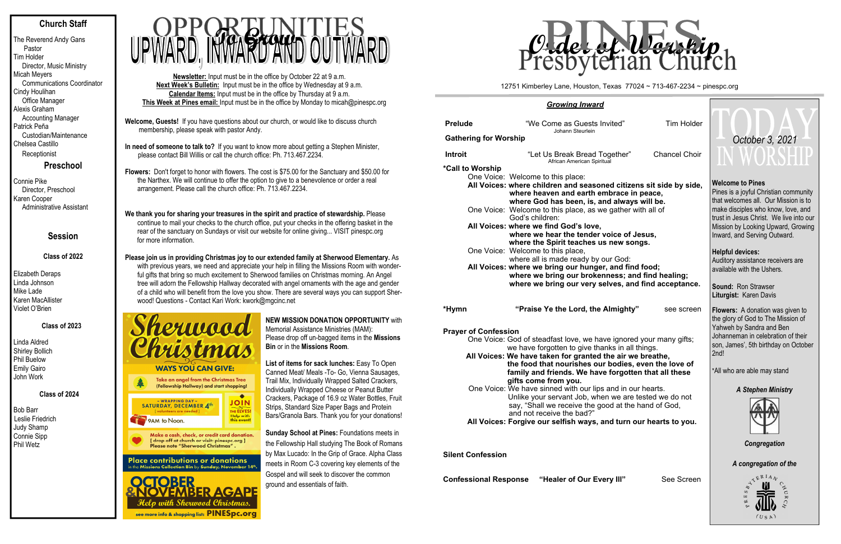### **Church Staff**

The Reverend Andy Gans Pastor Tim Holder Director, Music Ministry Micah Meyers Communications Coordinator Cindy Houlihan Office Manager Alexis Graham Accounting Manager Patrick Peña Custodian/Maintenance Chelsea Castillo **Receptionist** 

**Preschool**

Connie Pike Director, Preschool Karen Cooper Administrative Assistant

### **Session**

### **Class of 2022**

Elizabeth Deraps Linda Johnson Mike Lade Karen MacAllister Violet O'Brien

### **Class of 2023**

Linda Aldred Shirley Bollich Phil Buelow Emily Gairo John Work

 **Class of 2024** 

Bob Barr Leslie Friedrich Judy Shamp Connie Sipp Phil Wetz

- **Welcome, Guests!** If you have questions about our church, or would like to discuss church membership, please speak with pastor Andy.
- **In need of someone to talk to?** If you want to know more about getting a Stephen Minister, please contact Bill Willis or call the church office: Ph. 713.467.2234.

**Flowers:** Don't forget to honor with flowers. The cost is \$75.00 for the Sanctuary and \$50.00 for the Narthex. We will continue to offer the option to give to a benevolence or order a real arrangement. Please call the church office: Ph. 713.467.2234.

### **We thank you for sharing your treasures in the spirit and practice of stewardship.** Please continue to mail your checks to the church office, put your checks in the offering basket in the rear of the sanctuary on Sundays or visit our website for online giving... VISIT pinespc.org for more information.

**Please join us in providing Christmas joy to our extended family at Sherwood Elementary.** As with previous years, we need and appreciate your help in filling the Missions Room with wonderful gifts that bring so much excitement to Sherwood families on Christmas morning. An Angel tree will adorn the Fellowship Hallway decorated with angel ornaments with the age and gender of a child who will benefit from the love you show. There are several ways you can support Sherwood! Questions - Contact Kari Work: kwork@mgcinc.net



# **AGAP** with Sherwood Christmas. see more info & shopping list: PINESpc.org

**Newsletter:** Input must be in the office by October 22 at 9 a.m. **Next Week's Bulletin:** Input must be in the office by Wednesday at 9 a.m. **Calendar Items:** Input must be in the office by Thursday at 9 a.m. **This Week at Pines email:** Input must be in the office by Monday to micah@pinespc.org



**NEW MISSION DONATION OPPORTUNITY** with Memorial Assistance Ministries (MAM): Please drop off un-bagged items in the **Missions Bin** or in the **Missions Room**.

**List of items for sack lunches:** Easy To Open Canned Meat/ Meals -To- Go, Vienna Sausages, Trail Mix, Individually Wrapped Salted Crackers, Individually Wrapped Cheese or Peanut Butter Crackers, Package of 16.9 oz Water Bottles, Fruit Strips, Standard Size Paper Bags and Protein Bars/Granola Bars. Thank you for your donations!

**Sunday School at Pines:** Foundations meets in the Fellowship Hall studying The Book of Romans by Max Lucado: In the Grip of Grace. Alpha Class meets in Room C-3 covering key elements of the Gospel and will seek to discover the common ground and essentials of faith.

### *Growing Inward*

| <b>Prelude</b>               | "We Come as Guests Invited"<br>Johann Steurlein                                                                                                                                                 |  |  |  |  |  |
|------------------------------|-------------------------------------------------------------------------------------------------------------------------------------------------------------------------------------------------|--|--|--|--|--|
| <b>Gathering for Worship</b> |                                                                                                                                                                                                 |  |  |  |  |  |
| <b>Introit</b>               | "Let Us Break Bread Together"<br>African American Spiritual                                                                                                                                     |  |  |  |  |  |
| *Call to Worship             |                                                                                                                                                                                                 |  |  |  |  |  |
|                              | One Voice: Welcome to this place:                                                                                                                                                               |  |  |  |  |  |
|                              | All Voices: where children and seasoned citize<br>where heaven and earth embrace i<br>where God has been, is, and alway                                                                         |  |  |  |  |  |
|                              | One Voice: Welcome to this place, as we gather<br>God's children:                                                                                                                               |  |  |  |  |  |
|                              | All Voices: where we find God's love,<br>where we hear the tender voice of<br>where the Spirit teaches us new so                                                                                |  |  |  |  |  |
|                              | One Voice: Welcome to this place,<br>where all is made ready by our God:                                                                                                                        |  |  |  |  |  |
|                              | All Voices: where we bring our hunger, and fir<br>where we bring our brokenness; a<br>where we bring our very selves, ar                                                                        |  |  |  |  |  |
| *Hymn                        | "Praise Ye the Lord, the Almighty                                                                                                                                                               |  |  |  |  |  |
| <b>Prayer of Confession</b>  |                                                                                                                                                                                                 |  |  |  |  |  |
|                              | One Voice: God of steadfast love, we have ignore                                                                                                                                                |  |  |  |  |  |
|                              | we have forgotten to give thanks in all<br>All Voices: We have taken for granted the air w<br>the food that nourishes our bodies<br>family and friends. We have forgott<br>gifts come from you. |  |  |  |  |  |
|                              | One Voice: We have sinned with our lips and in o<br>Unlike your servant Job, when we are<br>say, "Shall we receive the good at the<br>and not receive the bad?"                                 |  |  |  |  |  |
|                              | All Voices: Forgive our selfish ways, and turn                                                                                                                                                  |  |  |  |  |  |

**All Voices: Forgive our selfish ways, and turn our hearts to you.** 

**Silent Confession** 

**Confessional Response** "Healer of Our Every III" See Screen

d" Tim Holder

er" Chancel Choir

**All Xoich Sit side by side, ce in peace,** ways will be. her with all of

of Jesus, *w* **songs.** 

**d** find food: **s**; and find healing; **and find acceptance.** 

**ighty"** see screen

nored your many gifts; in all things. **All in We breathe, the food that ident** identicate the love of **family disturate for friends** 

in our hearts. are tested we do not t the hand of God.

### **Welcome to Pines**

Pines is a joyful Christian community that welcomes all. Our Mission is to make disciples who know, love, and trust in Jesus Christ. We live into our Mission by Looking Upward, Growing Inward, and Serving Outward.

### **Helpful devices:**

Auditory assistance receivers are available with the Ushers.

**Sound:** Ron Strawser **Liturgist:** Karen Davis

**Flowers:** A donation was given to the glory of God to The Mission of Yahweh by Sandra and Ben Johanneman in celebration of their son, James', 5th birthday on October 2nd!

\*All who are able may stand

### *A Stephen Ministry*



*Congregation* 



12751 Kimberley Lane, Houston, Texas 77024 ~ 713-467-2234 ~ pinespc.org



# *October 3, 2021*